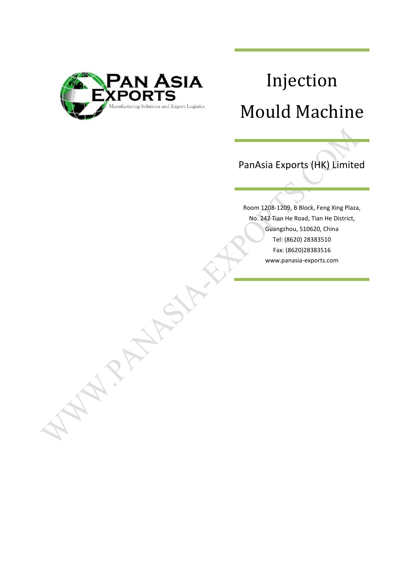

**PARTY** 

# Injection Mould Machine

PanAsia Exports (HK) Limited

Room 1208-1209, B Block, Feng Xing Plaza, No. 242 Tian He Road, Tian He District, Guangzhou, 510620, China Tel: (8620) 28383510 Fax: (8620)28383516 www.panasia-exports.com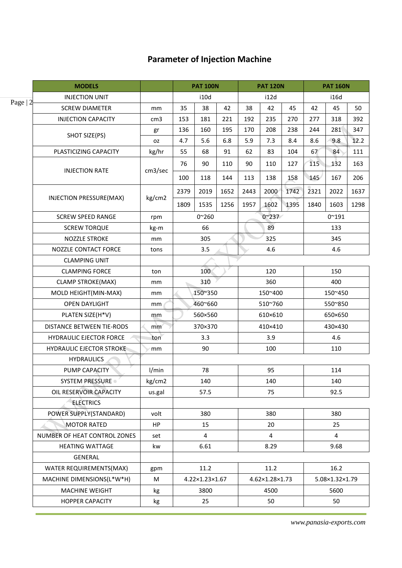# **Parameter of Injection Machine**

|           | <b>MODELS</b>                    |                 |         | <b>PAT 100N</b> |      | <b>PAT 120N</b> |                |      | <b>PAT 160N</b> |                |      |
|-----------|----------------------------------|-----------------|---------|-----------------|------|-----------------|----------------|------|-----------------|----------------|------|
|           | <b>INJECTION UNIT</b>            |                 |         | i10d            |      | i12d            |                |      | i16d            |                |      |
| Page $ 2$ | <b>SCREW DIAMETER</b>            | mm              | 35      | 38              | 42   | 38              | 42             | 45   | 42              | 45             | 50   |
|           | <b>INJECTION CAPACITY</b>        | cm <sub>3</sub> | 153     | 181             | 221  | 192             | 235            | 270  | 277             | 318            | 392  |
|           |                                  | gr              | 136     | 160             | 195  | 170             | 208            | 238  | 244             | 281            | 347  |
|           | SHOT SIZE(PS)                    | 0Z              | 4.7     | 5.6             | 6.8  | 5.9             | 7.3            | 8.4  | 8.6             | 9.8            | 12.2 |
|           | PLASTICIZING CAPACITY            | kg/hr           | 55      | 68              | 91   | 62              | 83             | 104  | 67              | 84             | 111  |
|           |                                  |                 | 76      | 90              | 110  | 90              | 110            | 127  | 115             | 132            | 163  |
|           | <b>INJECTION RATE</b>            | cm3/sec         | 100     | 118             | 144  | 113             | 138            | 158  | 145             | 167            | 206  |
|           |                                  |                 | 2379    | 2019            | 1652 | 2443            | 2000           | 1742 | 2321            | 2022           | 1637 |
|           | <b>INJECTION PRESSURE(MAX)</b>   | kg/cm2          | 1809    | 1535            | 1256 | 1957            | 1602           | 1395 | 1840            | 1603           | 1298 |
|           | <b>SCREW SPEED RANGE</b>         | rpm             |         | $0^{\sim}260$   |      |                 | $0^{\sim}237$  |      |                 | $0^{\sim}191$  |      |
|           | <b>SCREW TORQUE</b>              | kg-m            |         | 66              |      |                 | 89             |      |                 | 133            |      |
|           | <b>NOZZLE STROKE</b>             | mm              |         | 305             |      |                 | 325            |      |                 | 345            |      |
|           | <b>NOZZLE CONTACT FORCE</b>      | tons            |         | 3.5             |      |                 | 4.6            |      |                 | 4.6            |      |
|           | <b>CLAMPING UNIT</b>             |                 |         |                 |      |                 |                |      |                 |                |      |
|           | <b>CLAMPING FORCE</b>            | ton             |         | 100             |      |                 | 120            |      |                 | 150            |      |
|           | <b>CLAMP STROKE(MAX)</b>         | mm              |         | 310             |      |                 | 360            |      |                 | 400            |      |
|           | MOLD HEIGHT(MIN-MAX)             | mm              | 150~350 |                 |      | 150~400         |                |      | 150~450         |                |      |
|           | <b>OPEN DAYLIGHT</b>             | mm              | 460~660 |                 |      | 510~760         |                |      |                 | 550~850        |      |
|           | PLATEN SIZE(H*V)                 | mm              | 560×560 |                 |      |                 | 610×610        |      |                 | 650×650        |      |
|           | <b>DISTANCE BETWEEN TIE-RODS</b> | mm              |         | 370×370         |      |                 | 410×410        |      |                 | 430×430        |      |
|           | <b>HYDRAULIC EJECTOR FORCE</b>   | ton             |         | 3.3             |      |                 | 3.9            |      |                 | 4.6            |      |
|           | <b>HYDRAULIC EJECTOR STROKE</b>  | mm              |         | 90              |      |                 | 100            |      |                 | 110            |      |
|           | <b>HYDRAULICS</b>                |                 |         |                 |      |                 |                |      |                 |                |      |
|           | PUMP CAPACITY                    | 1/min           |         | 78              |      |                 | 95             |      |                 | 114            |      |
|           | <b>SYSTEM PRESSURE</b>           | kg/cm2          |         | 140             |      |                 | 140            |      |                 | 140            |      |
|           | OIL RESERVOIR CAPACITY           | us.gal          |         | 57.5            |      |                 | 75             |      |                 | 92.5           |      |
|           | <b>ELECTRICS</b>                 |                 |         |                 |      |                 |                |      |                 |                |      |
|           | POWER SUPPLY(STANDARD)           | volt            |         | 380             |      |                 | 380            |      |                 | 380            |      |
|           | <b>MOTOR RATED</b>               | HP              |         | 15              |      |                 | 20             |      |                 | 25             |      |
|           | NUMBER OF HEAT CONTROL ZONES     | set             |         | 4               |      |                 | $\overline{4}$ |      |                 | 4              |      |
|           | <b>HEATING WATTAGE</b>           | kw              |         | 6.61            |      |                 | 8.29           |      |                 | 9.68           |      |
|           | GENERAL                          |                 |         |                 |      |                 |                |      |                 |                |      |
|           | WATER REQUIREMENTS(MAX)          | gpm             |         | 11.2            |      |                 | 11.2           |      |                 | 16.2           |      |
|           | MACHINE DIMENSIONS(L*W*H)        | M               |         | 4.22×1.23×1.67  |      |                 | 4.62×1.28×1.73 |      |                 | 5.08×1.32×1.79 |      |
|           | <b>MACHINE WEIGHT</b>            | kg              |         | 3800            |      | 4500            |                |      | 5600            |                |      |
|           | <b>HOPPER CAPACITY</b>           | kg              |         | 25              |      |                 | 50             |      |                 | 50             |      |
|           |                                  |                 |         |                 |      |                 |                |      |                 |                |      |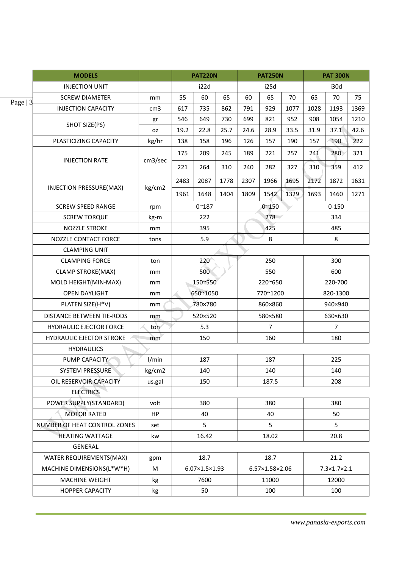|           | <b>MODELS</b>                    |                 |      | <b>PAT220N</b> |      | <b>PAT250N</b> |                | <b>PAT 300N</b> |          |                |      |
|-----------|----------------------------------|-----------------|------|----------------|------|----------------|----------------|-----------------|----------|----------------|------|
|           | <b>INJECTION UNIT</b>            |                 |      | i22d<br>i25d   |      | i30d           |                |                 |          |                |      |
| Page $ 3$ | <b>SCREW DIAMETER</b>            | mm              | 55   | 60             | 65   | 60             | 65             | 70              | 65       | 70             | 75   |
|           | <b>INJECTION CAPACITY</b>        | cm <sub>3</sub> | 617  | 735            | 862  | 791            | 929            | 1077            | 1028     | 1193           | 1369 |
|           | SHOT SIZE(PS)                    | gr              | 546  | 649            | 730  | 699            | 821            | 952             | 908      | 1054           | 1210 |
|           |                                  | 0Z              | 19.2 | 22.8           | 25.7 | 24.6           | 28.9           | 33.5            | 31.9     | 37.1           | 42.6 |
|           | PLASTICIZING CAPACITY            | kg/hr           | 138  | 158            | 196  | 126            | 157            | 190             | 157      | 190            | 222  |
|           |                                  |                 | 175  | 209            | 245  | 189            | 221            | 257             | 241      | 280            | 321  |
|           | <b>INJECTION RATE</b>            | cm3/sec         | 221  | 264            | 310  | 240            | 282            | 327             | 310      | 359            | 412  |
|           |                                  |                 | 2483 | 2087           | 1778 | 2307           | 1966           | 1695            | 2172     | 1872           | 1631 |
|           | INJECTION PRESSURE(MAX)          | kg/cm2          | 1961 | 1648           | 1404 | 1809           | 1542           | 1329            | 1693     | 1460           | 1271 |
|           | <b>SCREW SPEED RANGE</b>         | rpm             |      | $0^{\sim}187$  |      |                | $0^{\sim}150$  |                 |          | $0 - 150$      |      |
|           | <b>SCREW TORQUE</b>              | kg-m            |      | 222            |      |                | 278            |                 |          | 334            |      |
|           | <b>NOZZLE STROKE</b>             | mm              |      | 395            |      |                | 425            |                 |          | 485            |      |
|           | NOZZLE CONTACT FORCE             | tons            |      | 5.9            |      |                | 8              |                 |          | 8              |      |
|           | <b>CLAMPING UNIT</b>             |                 |      |                |      |                |                |                 |          |                |      |
|           | <b>CLAMPING FORCE</b>            | ton             |      | 220            |      |                | 250            |                 |          | 300            |      |
|           | <b>CLAMP STROKE(MAX)</b>         | mm              |      | 500            | 550  |                |                |                 | 600      |                |      |
|           | MOLD HEIGHT(MIN-MAX)             | mm              |      | 150~550        |      |                | 220~650        |                 | 220-700  |                |      |
|           | <b>OPEN DAYLIGHT</b>             | mm              |      | 650~1050       |      |                | 770~1200       |                 | 820-1300 |                |      |
|           | PLATEN SIZE(H*V)                 | mm              |      | 780×780        |      |                | 860×860        |                 |          | 940×940        |      |
|           | <b>DISTANCE BETWEEN TIE-RODS</b> | mm              |      | 520×520        |      |                | 580×580        |                 |          | 630×630        |      |
|           | <b>HYDRAULIC EJECTOR FORCE</b>   | ton             |      | 5.3            |      |                | $\overline{7}$ |                 |          | $\overline{7}$ |      |
|           | <b>HYDRAULIC EJECTOR STROKE</b>  | mm              |      | 150            |      |                | 160            |                 |          | 180            |      |
|           | <b>HYDRAULICS</b>                |                 |      |                |      |                |                |                 |          |                |      |
|           | PUMP CAPACITY                    | I/min           |      | 187            |      |                | 187            |                 |          | 225            |      |
|           | <b>SYSTEM PRESSURE</b>           | kg/cm2          |      | 140            |      |                | 140            |                 |          | 140            |      |
|           | OIL RESERVOIR CAPACITY           | us.gal          |      | 150            |      |                | 187.5          |                 |          | 208            |      |
|           | <b>ELECTRICS</b>                 |                 |      |                |      |                |                |                 |          |                |      |
|           | POWER SUPPLY(STANDARD)           | volt            |      | 380            |      |                | 380            |                 |          | 380            |      |
|           | <b>MOTOR RATED</b>               | <b>HP</b>       |      | 40             |      |                | 40             |                 |          | 50             |      |
|           | NUMBER OF HEAT CONTROL ZONES     | set             |      | 5              |      |                | 5              |                 |          | 5              |      |
|           | <b>HEATING WATTAGE</b>           | kw              |      | 16.42          |      |                | 18.02          |                 |          | 20.8           |      |
|           | GENERAL                          |                 |      |                |      |                |                |                 |          |                |      |
|           | WATER REQUIREMENTS(MAX)          | gpm             |      | 18.7           |      |                | 18.7           |                 |          | 21.2           |      |
|           | MACHINE DIMENSIONS(L*W*H)        | М               |      | 6.07×1.5×1.93  |      |                | 6.57×1.58×2.06 |                 |          | 7.3×1.7×2.1    |      |
|           | <b>MACHINE WEIGHT</b>            | kg              |      | 7600           |      |                | 11000          |                 |          | 12000          |      |
|           | <b>HOPPER CAPACITY</b>           | kg              |      | 50             |      |                | 100            |                 |          | 100            |      |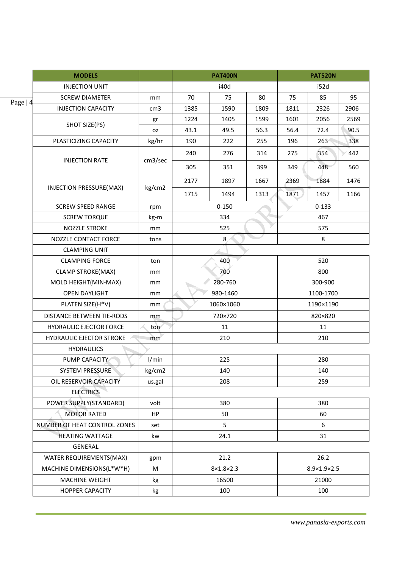|           | <b>MODELS</b>                    |                 |                       | <b>PAT520N</b> |      |                |           |      |  |
|-----------|----------------------------------|-----------------|-----------------------|----------------|------|----------------|-----------|------|--|
|           | <b>INJECTION UNIT</b>            |                 |                       | i40d           |      |                | i52d      |      |  |
| Page $ 4$ | <b>SCREW DIAMETER</b>            | mm              | 70                    | 75             | 80   | 75             | 85        | 95   |  |
|           | <b>INJECTION CAPACITY</b>        | cm <sub>3</sub> | 1385                  | 1590           | 1809 | 1811           | 2326      | 2906 |  |
|           |                                  | gr              | 1224                  | 1405           | 1599 | 1601           | 2056      | 2569 |  |
|           | SHOT SIZE(PS)                    | <b>OZ</b>       | 43.1                  | 49.5           | 56.3 | 56.4           | 72.4      | 90.5 |  |
|           | PLASTICIZING CAPACITY            | kg/hr           | 190                   | 222            | 255  | 196            | 263       | 338  |  |
|           |                                  |                 | 240                   | 276            | 314  | 275            | 354       | 442  |  |
|           | <b>INJECTION RATE</b>            | cm3/sec         | 305                   | 351            | 399  | 349            | 448       | 560  |  |
|           | INJECTION PRESSURE(MAX)          | kg/cm2          | 2177                  | 1897           | 1667 | 2369           | 1884      | 1476 |  |
|           |                                  |                 | 1715                  | 1494           | 1313 | 1871           | 1457      | 1166 |  |
|           | <b>SCREW SPEED RANGE</b>         | rpm             |                       | $0 - 150$      |      |                | $0 - 133$ |      |  |
|           | <b>SCREW TORQUE</b>              | kg-m            |                       | 334            |      |                | 467       |      |  |
|           | <b>NOZZLE STROKE</b>             | mm              |                       | 525            |      |                | 575       |      |  |
|           | NOZZLE CONTACT FORCE             | tons            |                       | 8              |      |                | 8         |      |  |
|           | <b>CLAMPING UNIT</b>             |                 |                       |                |      |                |           |      |  |
|           | <b>CLAMPING FORCE</b>            | ton             |                       | 400            |      |                | 520       |      |  |
|           | <b>CLAMP STROKE(MAX)</b>         | mm              |                       | 700            |      | 800<br>300-900 |           |      |  |
|           | MOLD HEIGHT(MIN-MAX)             | mm              |                       | 280-760        |      |                |           |      |  |
|           | <b>OPEN DAYLIGHT</b>             | mm              |                       | 980-1460       |      |                | 1100-1700 |      |  |
|           | PLATEN SIZE(H*V)                 | mm              |                       | 1060×1060      |      |                | 1190×1190 |      |  |
|           | <b>DISTANCE BETWEEN TIE-RODS</b> | mm              |                       | 720×720        |      |                | 820×820   |      |  |
|           | <b>HYDRAULIC EJECTOR FORCE</b>   | ton             |                       | 11             |      |                | 11        |      |  |
|           | <b>HYDRAULIC EJECTOR STROKE</b>  | mm              |                       | 210            |      |                | 210       |      |  |
|           | <b>HYDRAULICS</b>                |                 |                       |                |      |                |           |      |  |
|           | PUMP CAPACITY                    | I/min           |                       | 225            |      |                | 280       |      |  |
|           | <b>SYSTEM PRESSURE</b>           | kg/cm2          |                       | 140            |      |                | 140       |      |  |
|           | OIL RESERVOIR CAPACITY           | us.gal          |                       | 208            |      |                | 259       |      |  |
|           | <b>ELECTRICS</b>                 |                 |                       |                |      |                |           |      |  |
|           | POWER SUPPLY(STANDARD)           | volt            |                       | 380            |      |                | 380       |      |  |
|           | <b>MOTOR RATED</b>               | HP              |                       | 50             |      |                | 60        |      |  |
|           | NUMBER OF HEAT CONTROL ZONES     | set             |                       | 5              |      |                | 6         |      |  |
|           | <b>HEATING WATTAGE</b>           | kw              |                       | 24.1           |      |                | 31        |      |  |
|           | GENERAL                          |                 |                       |                |      |                |           |      |  |
|           | WATER REQUIREMENTS(MAX)          | gpm             |                       | 21.2           |      |                | 26.2      |      |  |
|           | MACHINE DIMENSIONS(L*W*H)        | M               | $8\times1.8\times2.3$ |                |      | 8.9×1.9×2.5    |           |      |  |
|           | <b>MACHINE WEIGHT</b>            | kg              | 16500                 |                |      | 21000          |           |      |  |
|           | <b>HOPPER CAPACITY</b>           | kg              |                       | 100            |      |                | 100       |      |  |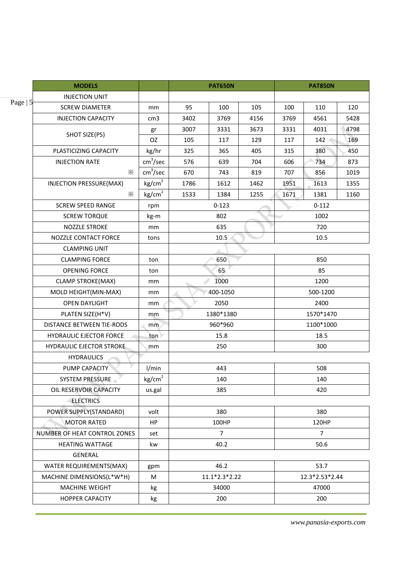|           | <b>MODELS</b>                   |                      |       | <b>PAT650N</b> |      |                | <b>PAT850N</b> |      |  |
|-----------|---------------------------------|----------------------|-------|----------------|------|----------------|----------------|------|--|
|           | <b>INJECTION UNIT</b>           |                      |       |                |      |                |                |      |  |
| Page $ 5$ | <b>SCREW DIAMETER</b>           | mm                   | 95    | 100            | 105  | 100            | 110            | 120  |  |
|           | <b>INJECTION CAPACITY</b>       | cm <sub>3</sub>      | 3402  | 3769           | 4156 | 3769           | 4561           | 5428 |  |
|           |                                 | gr                   | 3007  | 3331           | 3673 | 3331           | 4031           | 4798 |  |
|           | SHOT SIZE(PS)                   | OZ                   | 105   | 117            | 129  | 117            | 142            | 169  |  |
|           | PLASTICIZING CAPACITY           | kg/hr                | 325   | 365            | 405  | 315            | 380            | 450  |  |
|           | <b>INJECTION RATE</b>           | cm <sup>3</sup> /sec | 576   | 639            | 704  | 606            | 734            | 873  |  |
|           | $\ddot{\times}$                 | cm <sup>3</sup> /sec | 670   | 743            | 819  | 707            | 856            | 1019 |  |
|           | INJECTION PRESSURE(MAX)         | kg/cm <sup>2</sup>   | 1786  | 1612           | 1462 | 1951           | 1613           | 1355 |  |
|           | ⋇                               | kg/cm <sup>2</sup>   | 1533  | 1384           | 1255 | 1671           | 1381           | 1160 |  |
|           | <b>SCREW SPEED RANGE</b>        | rpm                  |       | $0 - 123$      |      |                | $0 - 112$      |      |  |
|           | <b>SCREW TORQUE</b>             | kg-m                 |       | 802            |      | 1002           |                |      |  |
|           | NOZZLE STROKE                   | mm                   |       | 635            |      | 720            |                |      |  |
|           | NOZZLE CONTACT FORCE            | tons                 |       | 10.5           |      | 10.5           |                |      |  |
|           | <b>CLAMPING UNIT</b>            |                      |       |                |      |                |                |      |  |
|           | <b>CLAMPING FORCE</b>           | ton                  |       | 650            |      | 850            |                |      |  |
|           | <b>OPENING FORCE</b>            | ton                  |       | 65             |      | 85             |                |      |  |
|           | <b>CLAMP STROKE(MAX)</b>        | mm                   |       | 1000           |      | 1200           |                |      |  |
|           | MOLD HEIGHT(MIN-MAX)            | mm                   |       | 400-1050       |      | 500-1200       |                |      |  |
|           | <b>OPEN DAYLIGHT</b>            | mm                   |       | 2050           |      |                | 2400           |      |  |
|           | PLATEN SIZE(H*V)                | mm                   |       | 1380*1380      |      |                | 1570*1470      |      |  |
|           | DISTANCE BETWEEN TIE-RODS       | mm                   |       | 960*960        |      |                | 1100*1000      |      |  |
|           | <b>HYDRAULIC EJECTOR FORCE</b>  | ton)                 |       | 15.8           |      |                | 18.5           |      |  |
|           | <b>HYDRAULIC EJECTOR STROKE</b> | mm                   |       | 250            |      |                | 300            |      |  |
|           | <b>HYDRAULICS</b>               |                      |       |                |      |                |                |      |  |
|           | PUMP CAPACITY                   | 1/min                |       | 443            |      | 508            |                |      |  |
|           | <b>SYSTEM PRESSURE</b>          | kg/cm <sup>2</sup>   |       | 140            |      |                | 140            |      |  |
|           | OIL RESERVOIR CAPACITY          | us.gal               |       | 385            |      | 420            |                |      |  |
|           | <b>ELECTRICS</b>                |                      |       |                |      |                |                |      |  |
|           | POWER SUPPLY(STANDARD)          | volt                 |       | 380            |      |                | 380            |      |  |
|           | <b>MOTOR RATED</b>              | HP                   |       | 100HP          |      | 120HP          |                |      |  |
|           | NUMBER OF HEAT CONTROL ZONES    | set                  |       | $\overline{7}$ |      | $\overline{7}$ |                |      |  |
|           | <b>HEATING WATTAGE</b>          | kw                   |       |                | 50.6 |                |                |      |  |
|           | GENERAL                         |                      |       |                |      |                |                |      |  |
|           | WATER REQUIREMENTS(MAX)         | gpm                  | 46.2  |                |      | 53.7           |                |      |  |
|           | MACHINE DIMENSIONS(L*W*H)       | M                    |       | 11.1*2.3*2.22  |      | 12.3*2.53*2.44 |                |      |  |
|           | MACHINE WEIGHT                  | kg                   | 34000 |                |      | 47000          |                |      |  |
|           | <b>HOPPER CAPACITY</b>          | kg                   |       | 200            |      |                | 200            |      |  |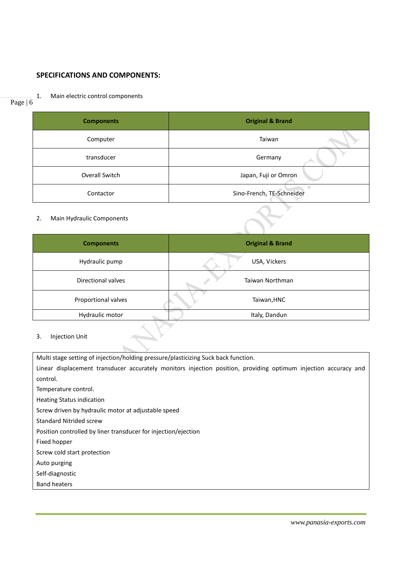# **SPECIFICATIONS AND COMPONENTS:**

#### Page | 6

1. Main electric control components

| <b>Components</b> | <b>Original &amp; Brand</b> |
|-------------------|-----------------------------|
| Computer          | Taiwan                      |
| transducer        | Germany                     |
| Overall Switch    | Japan, Fuji or Omron        |
| Contactor         | Sino-French, TE-Schneider   |

### 2. Main Hydraulic Components

| <b>Components</b>   | <b>Original &amp; Brand</b> |
|---------------------|-----------------------------|
| Hydraulic pump      | USA, Vickers                |
| Directional valves  | Taiwan Northman             |
| Proportional valves | Taiwan, HNC                 |
| Hydraulic motor     | Italy, Dandun               |

3. Injection Unit

Multi stage setting of injection/holding pressure/plasticizing Suck back function. Linear displacement transducer accurately monitors injection position, providing optimum injection accuracy and control. Temperature control. Heating Status indication Screw driven by hydraulic motor at adjustable speed Standard Nitrided screw Position controlled by liner transducer for injection/ejection Fixed hopper Screw cold start protection Auto purging Self-diagnostic Band heaters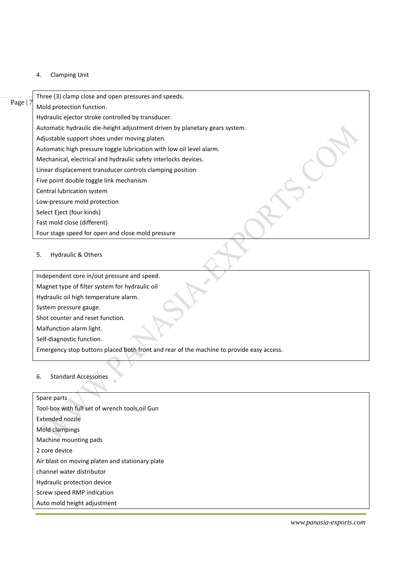4. Clamping Unit

|          | Three (3) clamp close and open pressures and speeds.                        |
|----------|-----------------------------------------------------------------------------|
| Page   7 | Mold protection function.                                                   |
|          | Hydraulic ejector stroke controlled by transducer.                          |
|          | Automatic hydraulic die-height adjustment driven by planetary gears system. |
|          | Adjustable support shoes under moving platen.                               |
|          | Automatic high pressure toggle lubrication with low oil level alarm.        |
|          | Mechanical, electrical and hydraulic safety interlocks devices.             |
|          | Linear displacement transducer controls clamping position                   |
|          | Five point double toggle link mechanism                                     |
|          | Central lubrication system                                                  |
|          | Low-pressure mold protection                                                |
|          | Select Eject (four kinds)                                                   |
|          | Fast mold close (different)                                                 |
|          | Four stage speed for open and close mold pressure                           |
|          |                                                                             |

# 5. Hydraulic & Others

Independent core in/out pressure and speed. Magnet type of filter system for hydraulic oil Hydraulic oil high temperature alarm. System pressure gauge. Shot counter and reset function.

Malfunction alarm light.

Self-diagnostic function.

 $\mathcal{A}_{\mathcal{N}}$ 

Emergency stop buttons placed both front and rear of the machine to provide easy access.

# 6. Standard Accessories

| Spare parts                                     |
|-------------------------------------------------|
| Tool-box with full set of wrench tools, oil Gun |
| Extended nozzle                                 |
| Mold clampings                                  |
| Machine mounting pads                           |
| 2 core device                                   |
| Air blast on moving platen and stationary plate |
| channel water distributor                       |
| Hydraulic protection device                     |
| Screw speed RMP indication                      |
| Auto mold height adjustment                     |